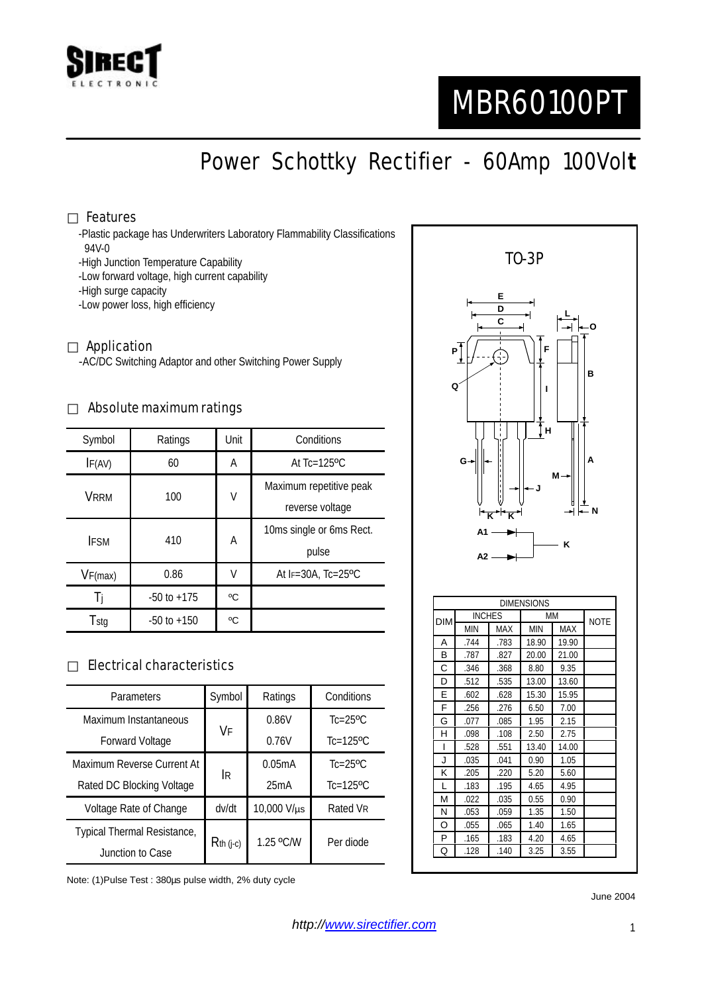

# MBR60100PT

# Power Schottky Rectifier - 60Amp 100Vol**t**

#### Features

-Plastic package has Underwriters Laboratory Flammability Classifications 94V-0

- -High Junction Temperature Capability
- -Low forward voltage, high current capability
- -High surge capacity
- -Low power loss, high efficiency

#### Application

-AC/DC Switching Adaptor and other Switching Power Supply

#### Absolute maximum ratings

| Symbol      | Ratings         | Unit | Conditions                   |  |
|-------------|-----------------|------|------------------------------|--|
| IF(AV)      | 60              | A    | At $Tc=125$ <sup>o</sup> $C$ |  |
| <b>VRRM</b> | 100             | V    | Maximum repetitive peak      |  |
|             |                 |      | reverse voltage              |  |
| <b>IFSM</b> | 410             | А    | 10ms single or 6ms Rect.     |  |
|             |                 |      | pulse                        |  |
| VF(max)     | 0.86            | V    | At IF=30A, Tc=25°C           |  |
| -l i        | $-50$ to $+175$ | °C   |                              |  |
| Tstg        | $-50$ to $+150$ | °C   |                              |  |

#### Electrical characteristics

| <b>Parameters</b>           | Symbol      | Ratings     | Conditions                 |
|-----------------------------|-------------|-------------|----------------------------|
| Maximum Instantaneous       | VF          | 0.86V       | $Tc = 25$ <sup>o</sup> $C$ |
| <b>Forward Voltage</b>      |             | 0.76V       | $Tc=125$ <sup>o</sup> C    |
| Maximum Reverse Current At  | IR.         | 0.05mA      | $Tc = 25$ <sup>o</sup> $C$ |
| Rated DC Blocking Voltage   |             | 25mA        | $Tc=125$ <sup>o</sup> C    |
| Voltage Rate of Change      | dv/dt       | 10,000 V/µs | Rated VR                   |
| Typical Thermal Resistance, | $Rth$ (j-c) | 1.25 °C/W   | Per diode                  |
| Junction to Case            |             |             |                            |

Note: (1)Pulse Test : 380µs pulse width, 2% duty cycle



June 2004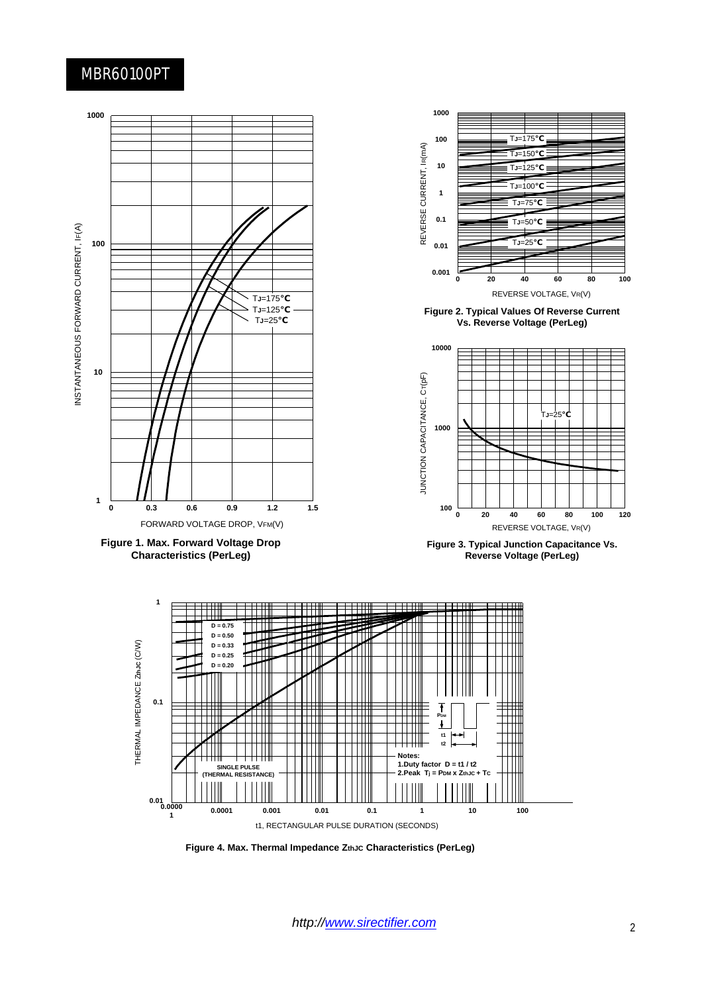### MBR60100PT





**Figure 4. Max. Thermal Impedance ZthJC Characteristics (PerLeg)**